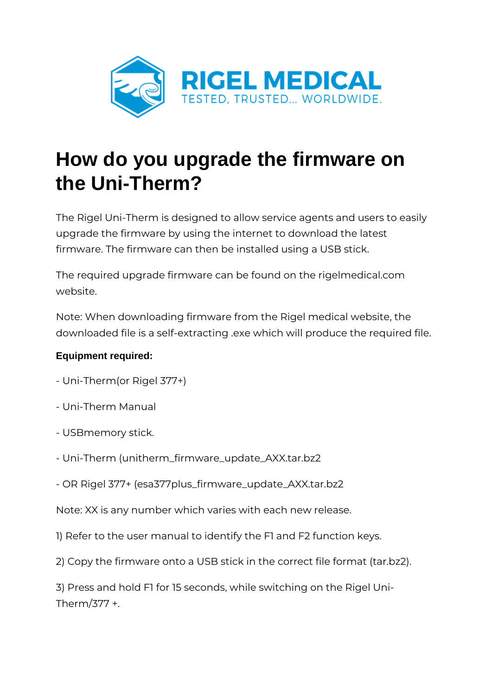

## **How do you upgrade the firmware on the Uni-Therm?**

The Rigel Uni-Therm is designed to allow service agents and users to easily upgrade the firmware by using the internet to download the latest firmware. The firmware can then be installed using a USB stick.

The required upgrade firmware can be found on the rigelmedical.com website.

Note: When downloading firmware from the Rigel medical website, the downloaded file is a self-extracting .exe which will produce the required file.

## **Equipment required:**

- Uni-Therm(or Rigel 377+)
- Uni-Therm Manual
- USBmemory stick.
- Uni-Therm (unitherm\_firmware\_update\_AXX.tar.bz2
- OR Rigel 377+ (esa377plus\_firmware\_update\_AXX.tar.bz2

Note: XX is any number which varies with each new release.

- 1) Refer to the user manual to identify the F1 and F2 function keys.
- 2) Copy the firmware onto a USB stick in the correct file format (tar.bz2).

3) Press and hold F1 for 15 seconds, while switching on the Rigel Uni-Therm/377 +.